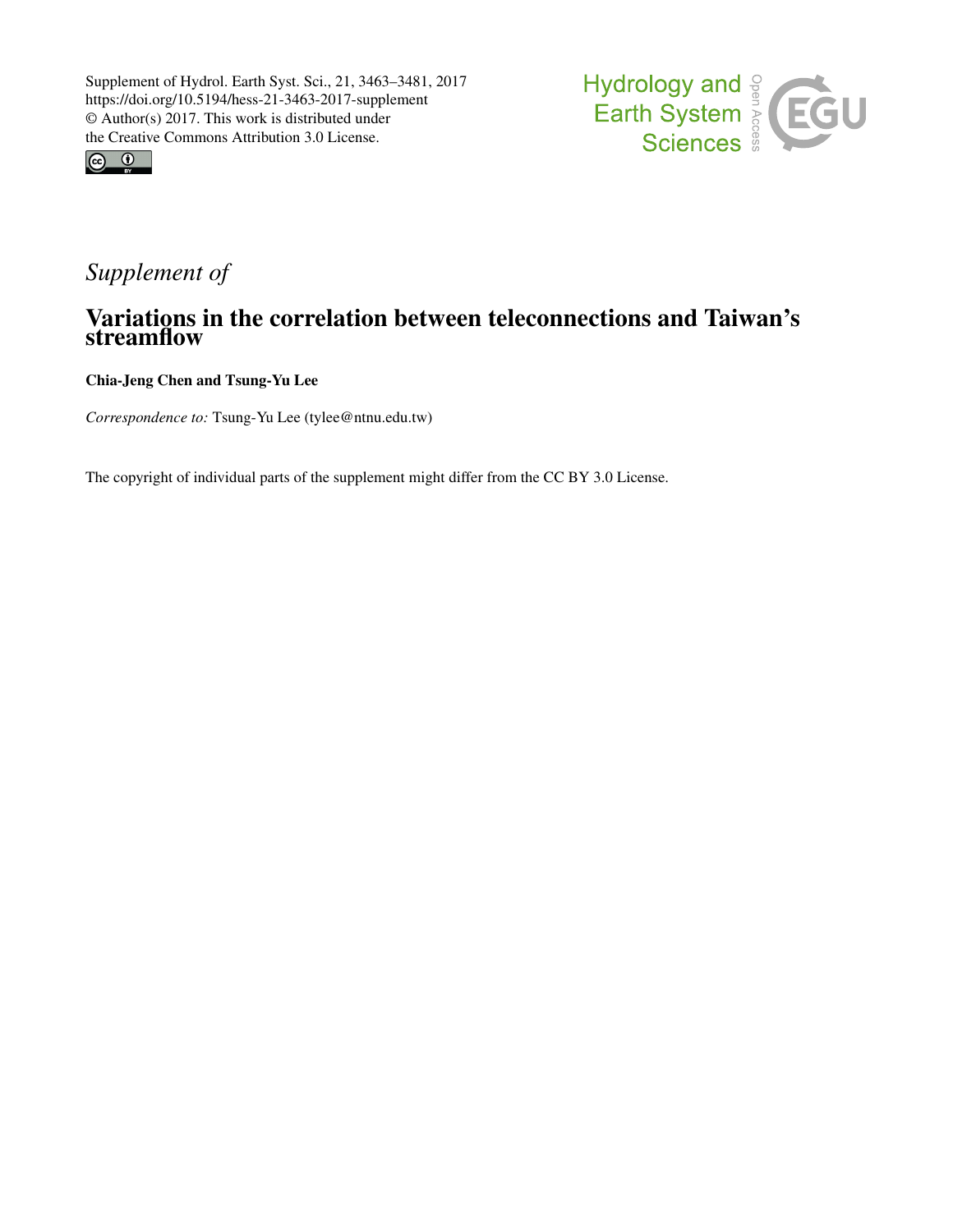



# *Supplement of*

## Variations in the correlation between teleconnections and Taiwan's streamflow

Chia-Jeng Chen and Tsung-Yu Lee

*Correspondence to:* Tsung-Yu Lee (tylee@ntnu.edu.tw)

The copyright of individual parts of the supplement might differ from the CC BY 3.0 License.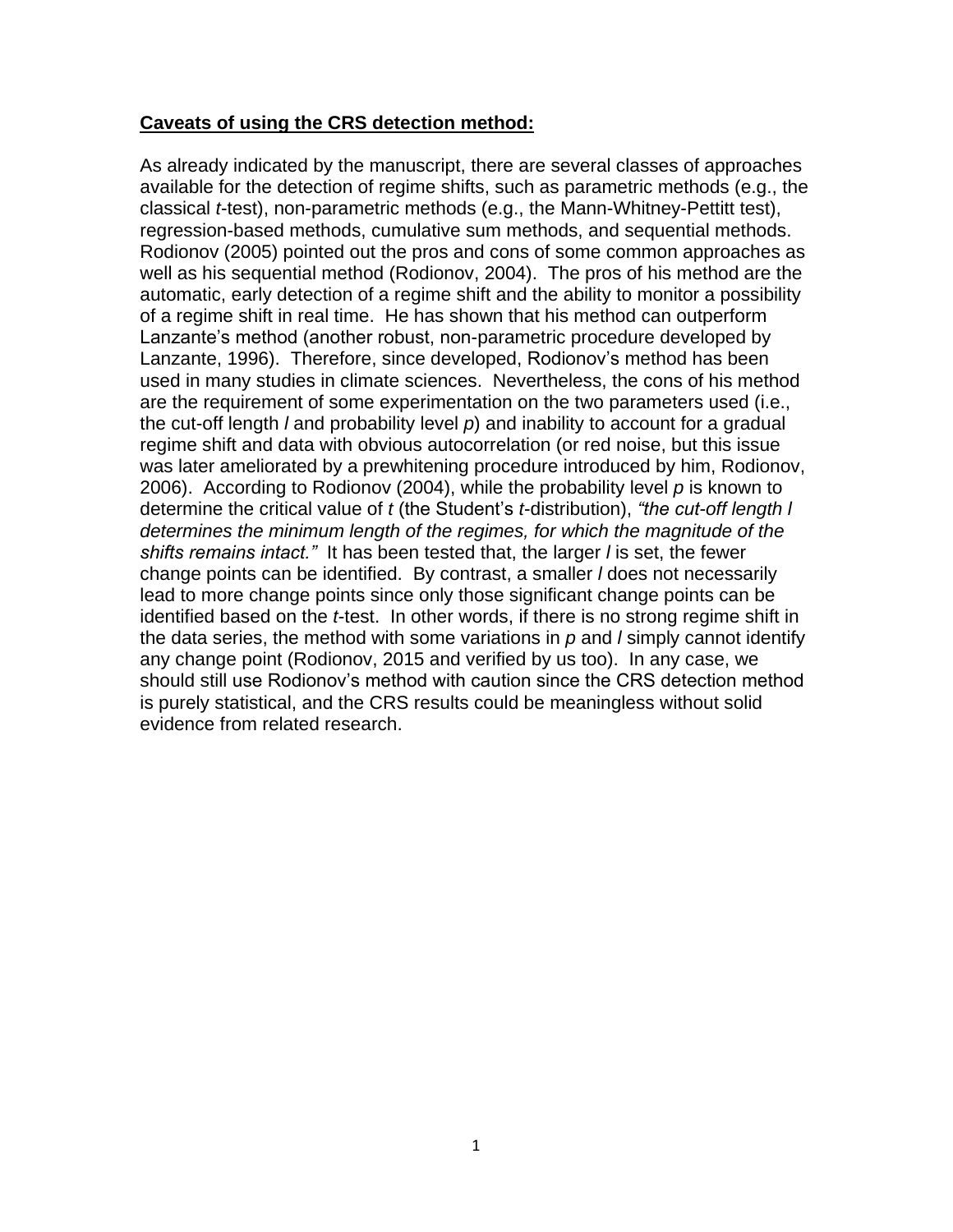### **Caveats of using the CRS detection method:**

As already indicated by the manuscript, there are several classes of approaches available for the detection of regime shifts, such as parametric methods (e.g., the classical *t*-test), non-parametric methods (e.g., the Mann-Whitney-Pettitt test), regression-based methods, cumulative sum methods, and sequential methods. Rodionov (2005) pointed out the pros and cons of some common approaches as well as his sequential method (Rodionov, 2004). The pros of his method are the automatic, early detection of a regime shift and the ability to monitor a possibility of a regime shift in real time. He has shown that his method can outperform Lanzante's method (another robust, non-parametric procedure developed by Lanzante, 1996). Therefore, since developed, Rodionov's method has been used in many studies in climate sciences. Nevertheless, the cons of his method are the requirement of some experimentation on the two parameters used (i.e., the cut-off length *l* and probability level *p*) and inability to account for a gradual regime shift and data with obvious autocorrelation (or red noise, but this issue was later ameliorated by a prewhitening procedure introduced by him, Rodionov, 2006). According to Rodionov (2004), while the probability level *p* is known to determine the critical value of *t* (the Student's *t*-distribution), *"the cut-off length l determines the minimum length of the regimes, for which the magnitude of the shifts remains intact."* It has been tested that, the larger *l* is set, the fewer change points can be identified. By contrast, a smaller *l* does not necessarily lead to more change points since only those significant change points can be identified based on the *t*-test. In other words, if there is no strong regime shift in the data series, the method with some variations in *p* and *l* simply cannot identify any change point (Rodionov, 2015 and verified by us too). In any case, we should still use Rodionov's method with caution since the CRS detection method is purely statistical, and the CRS results could be meaningless without solid evidence from related research.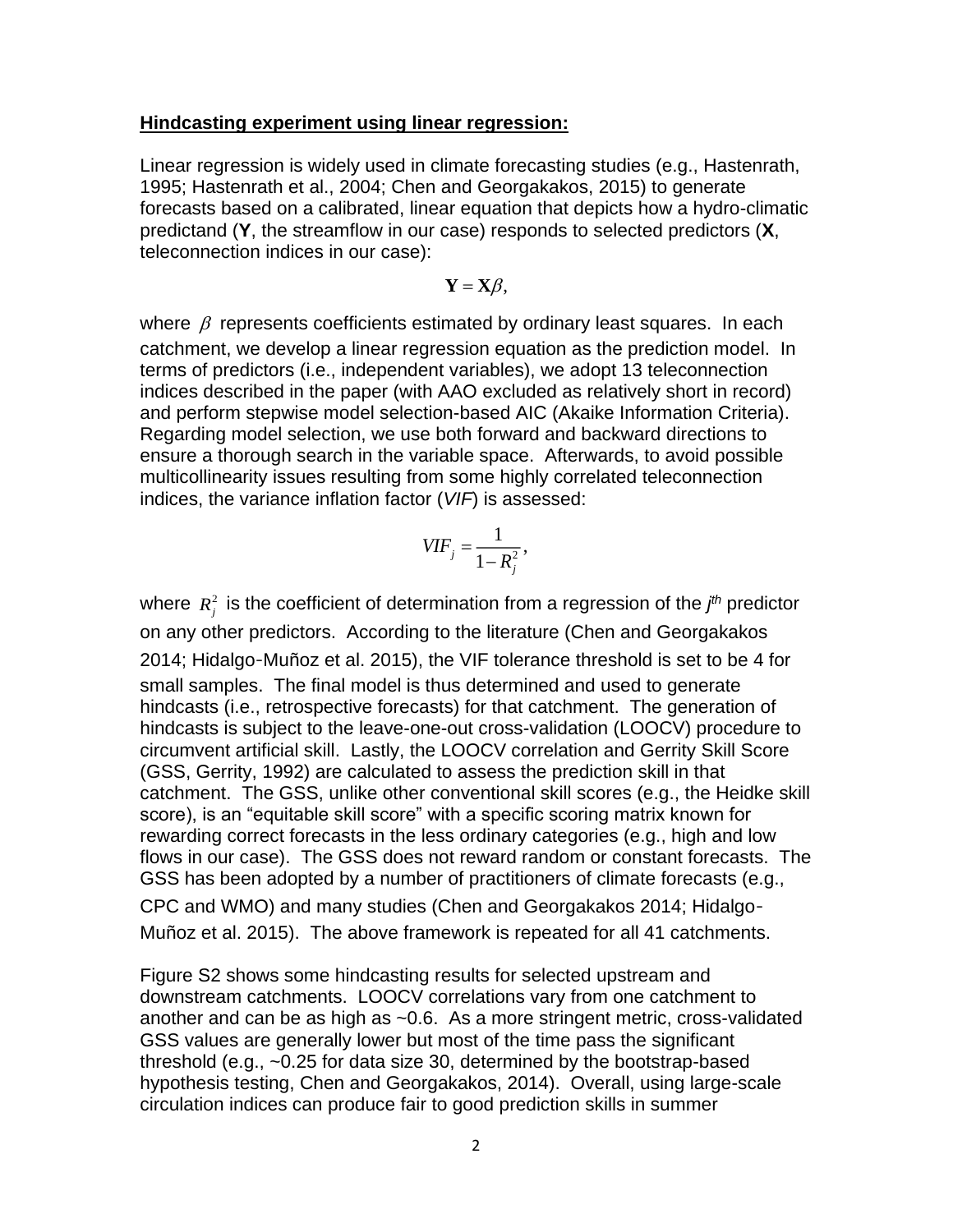#### **Hindcasting experiment using linear regression:**

Linear regression is widely used in climate forecasting studies (e.g., Hastenrath, 1995; Hastenrath et al., 2004; Chen and Georgakakos, 2015) to generate forecasts based on a calibrated, linear equation that depicts how a hydro-climatic predictand (**Y**, the streamflow in our case) responds to selected predictors (**X**, teleconnection indices in our case):

$$
\mathbf{Y}=\mathbf{X}\boldsymbol{\beta},
$$

where  $\beta$  represents coefficients estimated by ordinary least squares. In each catchment, we develop a linear regression equation as the prediction model. In terms of predictors (i.e., independent variables), we adopt 13 teleconnection indices described in the paper (with AAO excluded as relatively short in record) and perform stepwise model selection-based AIC (Akaike Information Criteria). Regarding model selection, we use both forward and backward directions to ensure a thorough search in the variable space. Afterwards, to avoid possible multicollinearity issues resulting from some highly correlated teleconnection indices, the variance inflation factor (*VIF*) is assessed:

$$
VIF_j = \frac{1}{1 - R_j^2},
$$

where  $R_j^2$  is the coefficient of determination from a regression of the  $j^{th}$  predictor on any other predictors. According to the literature (Chen and Georgakakos 2014; Hidalgo-Muñoz et al. 2015), the VIF tolerance threshold is set to be 4 for small samples. The final model is thus determined and used to generate hindcasts (i.e., retrospective forecasts) for that catchment. The generation of hindcasts is subject to the leave-one-out cross-validation (LOOCV) procedure to circumvent artificial skill. Lastly, the LOOCV correlation and Gerrity Skill Score (GSS, Gerrity, 1992) are calculated to assess the prediction skill in that catchment. The GSS, unlike other conventional skill scores (e.g., the Heidke skill score), is an "equitable skill score" with a specific scoring matrix known for rewarding correct forecasts in the less ordinary categories (e.g., high and low flows in our case). The GSS does not reward random or constant forecasts. The GSS has been adopted by a number of practitioners of climate forecasts (e.g., CPC and WMO) and many studies (Chen and Georgakakos 2014; Hidalgo‐

Muñoz et al. 2015). The above framework is repeated for all 41 catchments.

Figure S2 shows some hindcasting results for selected upstream and downstream catchments. LOOCV correlations vary from one catchment to another and can be as high as ~0.6. As a more stringent metric, cross-validated GSS values are generally lower but most of the time pass the significant threshold (e.g., ~0.25 for data size 30, determined by the bootstrap-based hypothesis testing, Chen and Georgakakos, 2014). Overall, using large-scale circulation indices can produce fair to good prediction skills in summer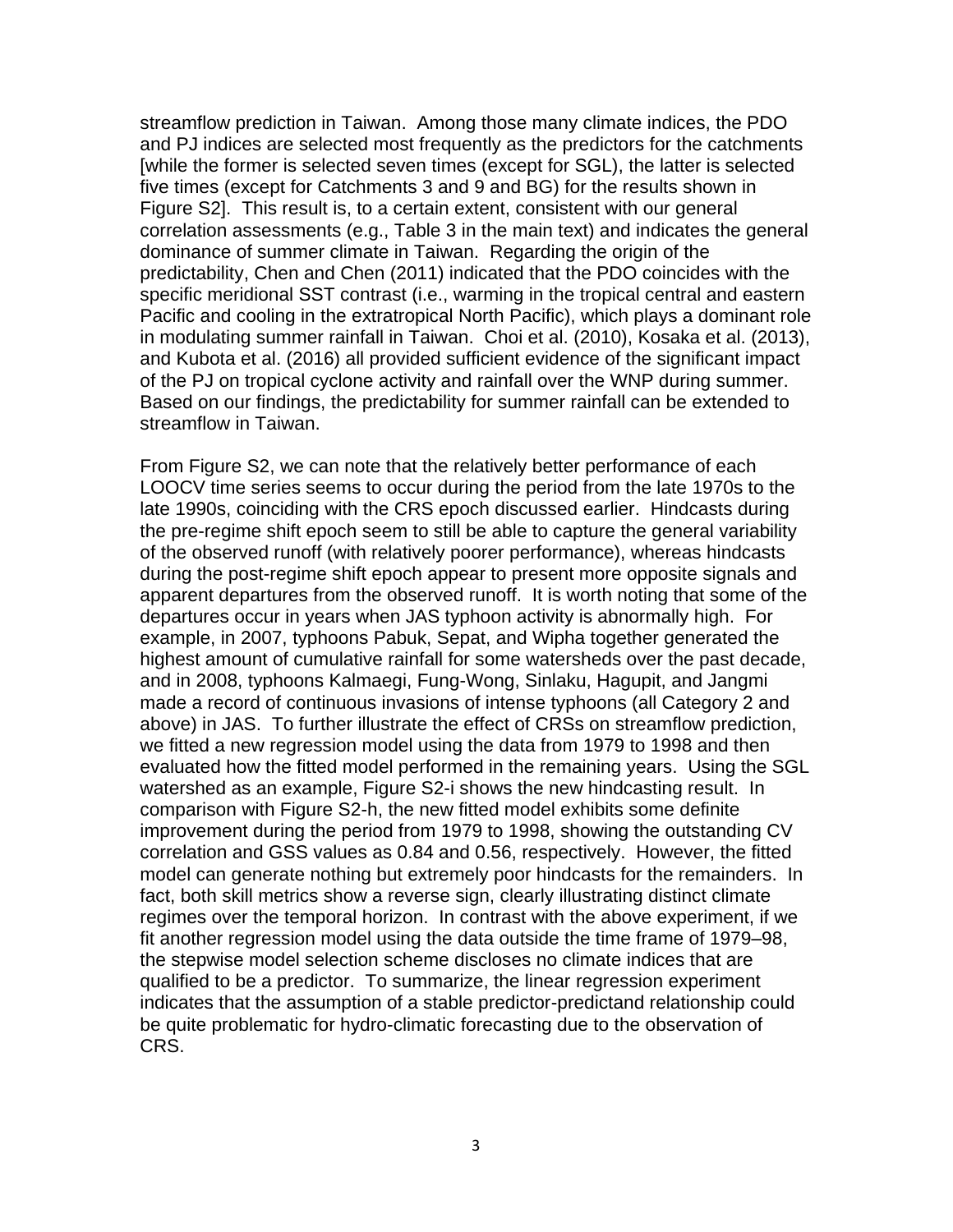streamflow prediction in Taiwan. Among those many climate indices, the PDO and PJ indices are selected most frequently as the predictors for the catchments [while the former is selected seven times (except for SGL), the latter is selected five times (except for Catchments 3 and 9 and BG) for the results shown in Figure S2]. This result is, to a certain extent, consistent with our general correlation assessments (e.g., Table 3 in the main text) and indicates the general dominance of summer climate in Taiwan. Regarding the origin of the predictability, Chen and Chen (2011) indicated that the PDO coincides with the specific meridional SST contrast (i.e., warming in the tropical central and eastern Pacific and cooling in the extratropical North Pacific), which plays a dominant role in modulating summer rainfall in Taiwan. Choi et al. (2010), Kosaka et al. (2013), and Kubota et al. (2016) all provided sufficient evidence of the significant impact of the PJ on tropical cyclone activity and rainfall over the WNP during summer. Based on our findings, the predictability for summer rainfall can be extended to streamflow in Taiwan.

From Figure S2, we can note that the relatively better performance of each LOOCV time series seems to occur during the period from the late 1970s to the late 1990s, coinciding with the CRS epoch discussed earlier. Hindcasts during the pre-regime shift epoch seem to still be able to capture the general variability of the observed runoff (with relatively poorer performance), whereas hindcasts during the post-regime shift epoch appear to present more opposite signals and apparent departures from the observed runoff. It is worth noting that some of the departures occur in years when JAS typhoon activity is abnormally high. For example, in 2007, typhoons Pabuk, Sepat, and Wipha together generated the highest amount of cumulative rainfall for some watersheds over the past decade, and in 2008, typhoons Kalmaegi, Fung-Wong, Sinlaku, Hagupit, and Jangmi made a record of continuous invasions of intense typhoons (all Category 2 and above) in JAS. To further illustrate the effect of CRSs on streamflow prediction, we fitted a new regression model using the data from 1979 to 1998 and then evaluated how the fitted model performed in the remaining years. Using the SGL watershed as an example, Figure S2-i shows the new hindcasting result. In comparison with Figure S2-h, the new fitted model exhibits some definite improvement during the period from 1979 to 1998, showing the outstanding CV correlation and GSS values as 0.84 and 0.56, respectively. However, the fitted model can generate nothing but extremely poor hindcasts for the remainders. In fact, both skill metrics show a reverse sign, clearly illustrating distinct climate regimes over the temporal horizon. In contrast with the above experiment, if we fit another regression model using the data outside the time frame of 1979–98, the stepwise model selection scheme discloses no climate indices that are qualified to be a predictor. To summarize, the linear regression experiment indicates that the assumption of a stable predictor-predictand relationship could be quite problematic for hydro-climatic forecasting due to the observation of CRS.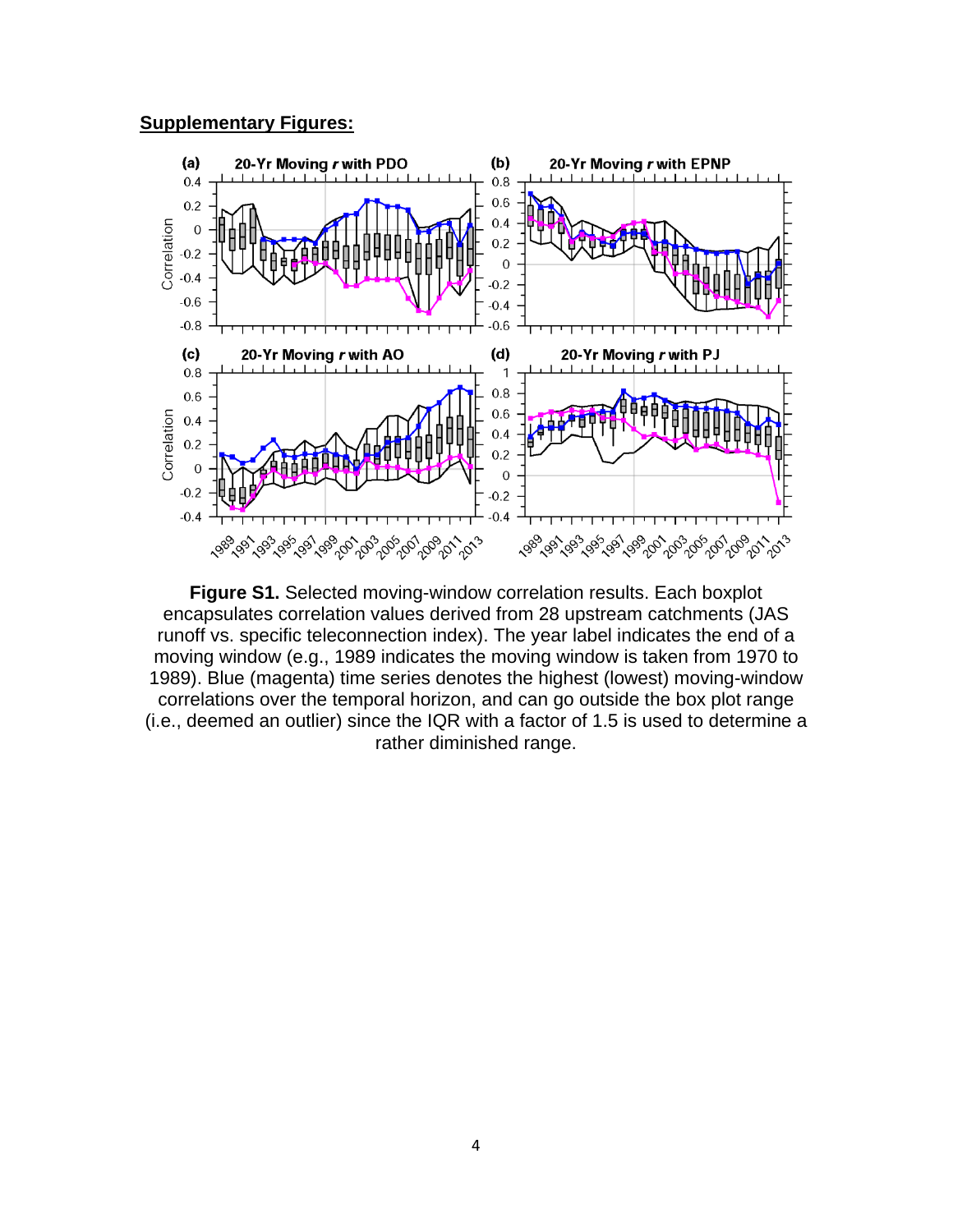#### **Supplementary Figures:**



**Figure S1.** Selected moving-window correlation results. Each boxplot encapsulates correlation values derived from 28 upstream catchments (JAS runoff vs. specific teleconnection index). The year label indicates the end of a moving window (e.g., 1989 indicates the moving window is taken from 1970 to 1989). Blue (magenta) time series denotes the highest (lowest) moving-window correlations over the temporal horizon, and can go outside the box plot range (i.e., deemed an outlier) since the IQR with a factor of 1.5 is used to determine a rather diminished range.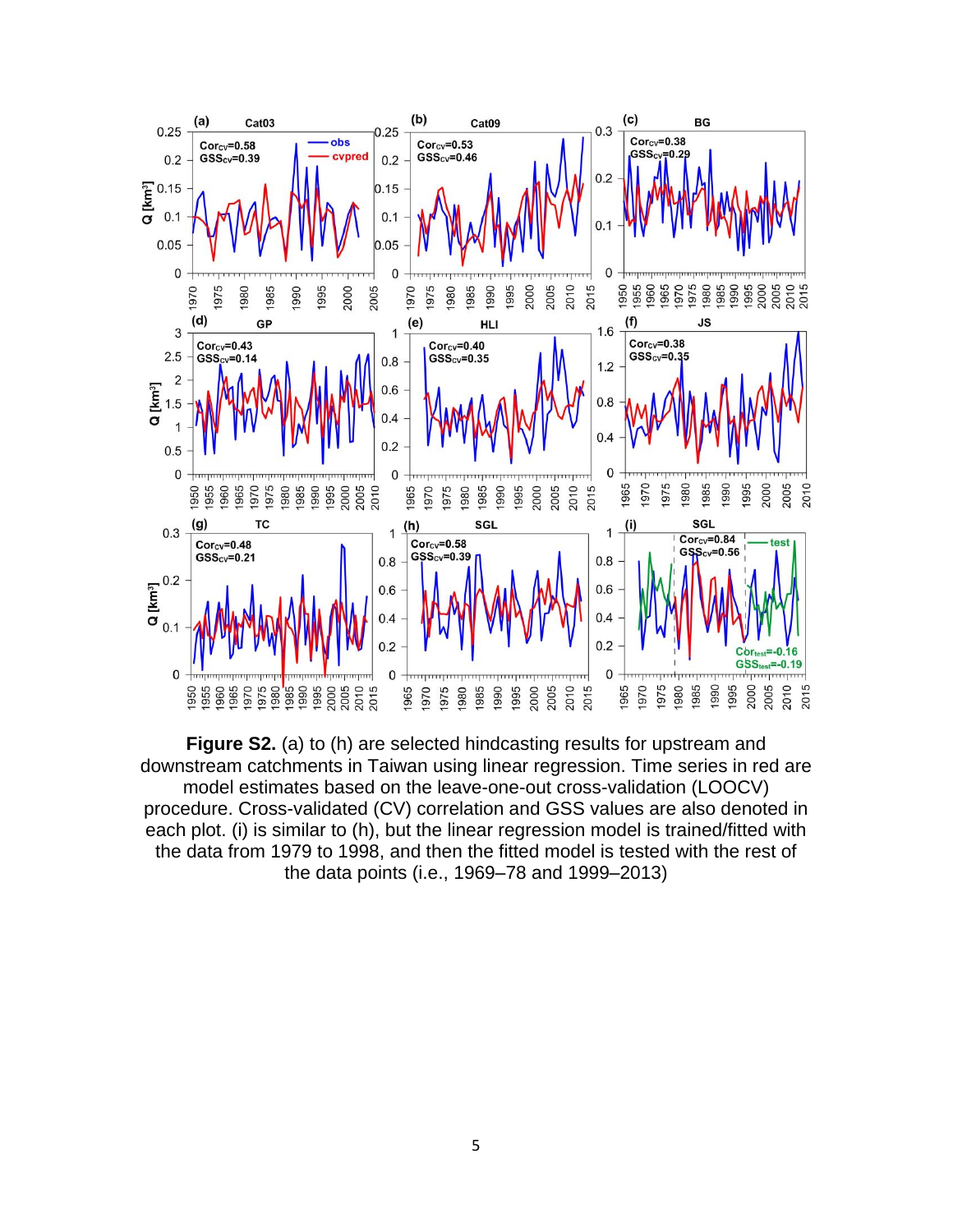

**Figure S2.** (a) to (h) are selected hindcasting results for upstream and downstream catchments in Taiwan using linear regression. Time series in red are model estimates based on the leave-one-out cross-validation (LOOCV) procedure. Cross-validated (CV) correlation and GSS values are also denoted in each plot. (i) is similar to (h), but the linear regression model is trained/fitted with the data from 1979 to 1998, and then the fitted model is tested with the rest of the data points (i.e., 1969–78 and 1999–2013)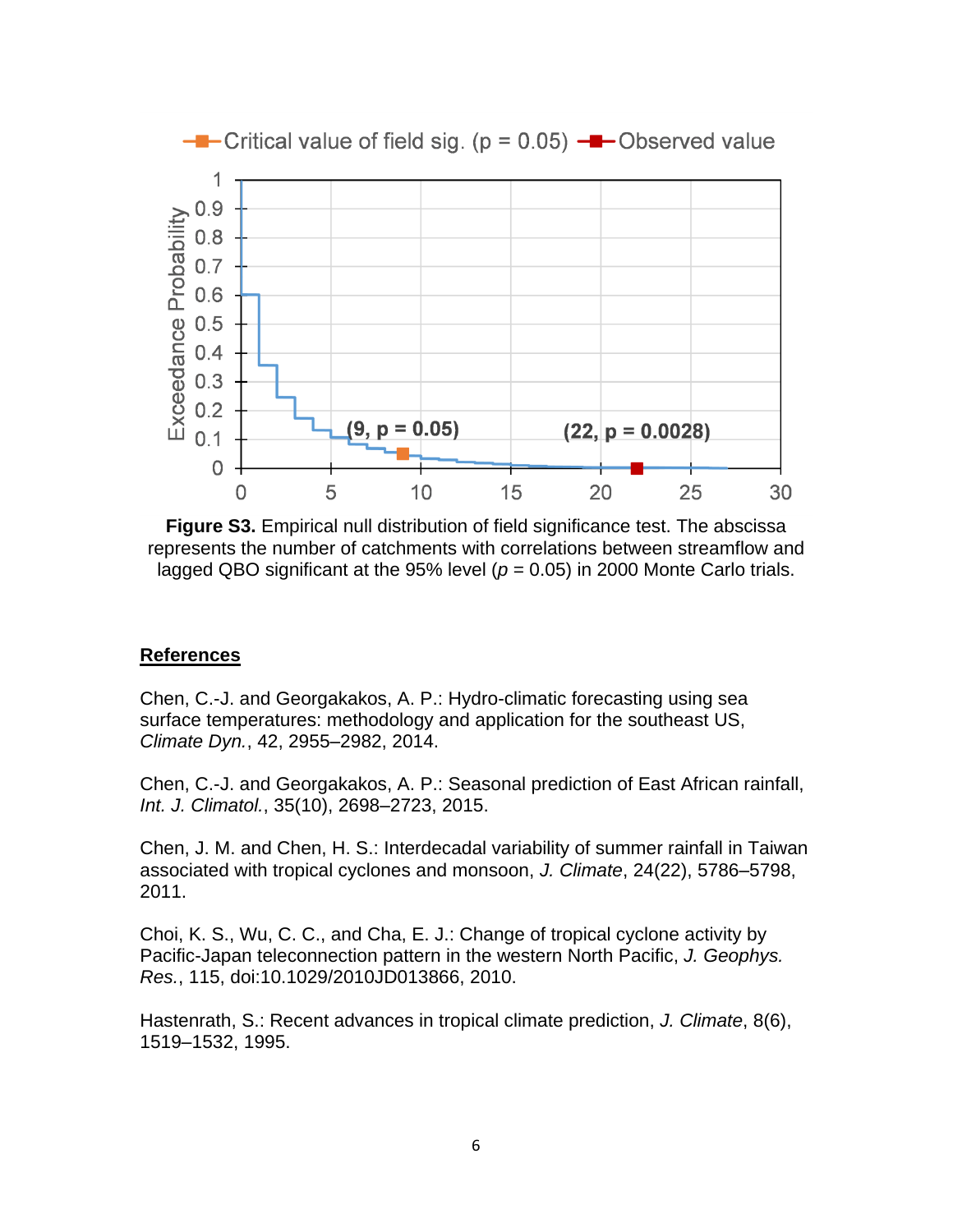

**Figure S3.** Empirical null distribution of field significance test. The abscissa represents the number of catchments with correlations between streamflow and lagged QBO significant at the 95% level  $(p = 0.05)$  in 2000 Monte Carlo trials.

#### **References**

Chen, C.-J. and Georgakakos, A. P.: Hydro-climatic forecasting using sea surface temperatures: methodology and application for the southeast US, *Climate Dyn.*, 42, 2955–2982, 2014.

Chen, C.-J. and Georgakakos, A. P.: Seasonal prediction of East African rainfall, *Int. J. Climatol.*, 35(10), 2698–2723, 2015.

Chen, J. M. and Chen, H. S.: Interdecadal variability of summer rainfall in Taiwan associated with tropical cyclones and monsoon, *J. Climate*, 24(22), 5786–5798, 2011.

Choi, K. S., Wu, C. C., and Cha, E. J.: Change of tropical cyclone activity by Pacific-Japan teleconnection pattern in the western North Pacific, *J. Geophys. Res.*, 115, doi:10.1029/2010JD013866, 2010.

Hastenrath, S.: Recent advances in tropical climate prediction, *J. Climate*, 8(6), 1519–1532, 1995.